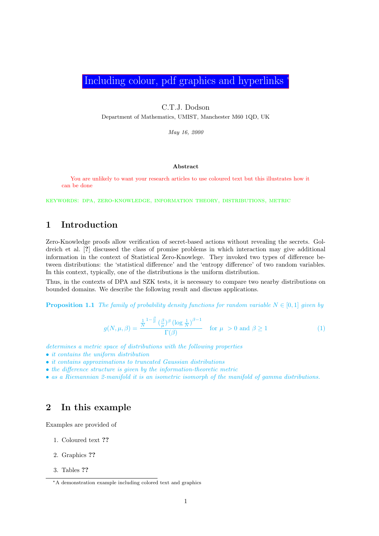Including colour, pdf graphics and hyperlinks

C.T.J. Dodson

Department of Mathematics, UMIST, Manchester M60 1QD, UK

May 16, 2000

#### Abstract

You are unlikely to want your research articles to use coloured text but this illustrates how it can be done

keywords: dpa, zero-knowledge, information theory, distributions, metric

# 1 Introduction

Zero-Knowledge proofs allow verification of secret-based actions without revealing the secrets. Goldreich et al. [?] discussed the class of promise problems in which interaction may give additional information in the context of Statistical Zero-Knowlege. They invoked two types of difference between distributions: the 'statistical difference' and the 'entropy difference' of two random variables. In this context, typically, one of the distributions is the uniform distribution.

Thus, in the contexts of DPA and SZK tests, it is necessary to compare two nearby distributions on bounded domains. We describe the following result and discuss applications.

**Proposition 1.1** The family of probability density functions for random variable  $N \in [0,1]$  given by

$$
g(N, \mu, \beta) = \frac{\frac{1}{N} \cdot \frac{\beta}{\mu} \left(\frac{\beta}{\mu}\right)^{\beta} \left(\log \frac{1}{N}\right)^{\beta - 1}}{\Gamma(\beta)} \quad \text{for } \mu > 0 \text{ and } \beta \ge 1
$$
 (1)

- determines a metric space of distributions with the following properties
- it contains the uniform distribution
- it contains approximations to truncated Gaussian distributions
- the difference structure is given by the information-theoretic metric
- as a Riemannian 2-manifold it is an isometric isomorph of the manifold of gamma distributions.

# 2 In this example

Examples are provided of

- 1. Coloured text ??
- 2. Graphics ??
- 3. Tables ??

<sup>∗</sup>A demonstration example including colored text and graphics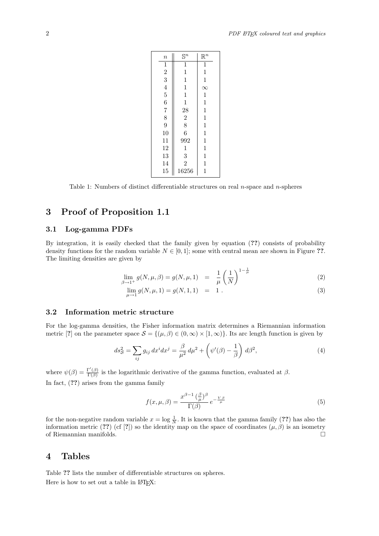| $\it n$        | $\mathbb{S}^n$ | $\mathbb{R}^n$ |
|----------------|----------------|----------------|
| $\mathbf{1}$   | $\mathbf 1$    | $\mathbf 1$    |
| $\overline{2}$ | 1              | $\mathbf 1$    |
| 3              | 1              | $\mathbf{1}$   |
| $\overline{4}$ | 1              | $\infty$       |
| $\overline{5}$ | $\mathbf{1}$   | $\mathbf 1$    |
| 6              | $\mathbf 1$    | $\mathbf 1$    |
| $\overline{7}$ | 28             | $\mathbf 1$    |
| 8              | $\overline{2}$ | $\mathbf 1$    |
| 9              | 8              | $\mathbf{1}$   |
| 10             | 6              | $\mathbf 1$    |
| 11             | 992            | $\mathbf 1$    |
| 12             | $\mathbf 1$    | $\mathbf{1}$   |
| 13             | 3              | $\mathbf{1}$   |
| 14             | $\overline{2}$ | 1              |
| 15             | 16256          | $\mathbf 1$    |

Table 1: Numbers of distinct differentiable structures on real  $n$ -space and  $n$ -spheres

# 3 Proof of Proposition 1.1

#### 3.1 Log-gamma PDFs

By integration, it is easily checked that the family given by equation (??) consists of probability density functions for the random variable  $N \in [0,1]$ ; some with central mean are shown in Figure ??. The limiting densities are given by

$$
\lim_{\beta \to 1^+} g(N, \mu, \beta) = g(N, \mu, 1) = \frac{1}{\mu} \left(\frac{1}{N}\right)^{1 - \frac{1}{\mu}} \tag{2}
$$

$$
\lim_{\mu \to 1} g(N, \mu, 1) = g(N, 1, 1) = 1.
$$
\n(3)

### 3.2 Information metric structure

For the log-gamma densities, the Fisher information matrix determines a Riemannian information metric [?] on the parameter space  $S = \{(\mu, \beta) \in (0, \infty) \times [1, \infty)\}\.$  Its arc length function is given by

$$
ds_{\mathcal{S}}^2 = \sum_{ij} g_{ij} dx^i dx^j = \frac{\beta}{\mu^2} d\mu^2 + \left(\psi'(\beta) - \frac{1}{\beta}\right) d\beta^2,\tag{4}
$$

where  $\psi(\beta) = \frac{\Gamma'(\beta)}{\Gamma(\beta)}$  $\frac{\Gamma(\beta)}{\Gamma(\beta)}$  is the logarithmic derivative of the gamma function, evaluated at  $\beta$ . In fact, (??) arises from the gamma family

$$
f(x, \mu, \beta) = \frac{x^{\beta - 1} \left(\frac{\beta}{\mu}\right)^{\beta}}{\Gamma(\beta)} e^{-\frac{V \beta}{\mu}} \tag{5}
$$

for the non-negative random variable  $x = \log \frac{1}{N}$ . It is known that the gamma family (??) has also the information metric (??) (cf [?]) so the identity map on the space of coordinates  $(\mu, \beta)$  is an isometry of Riemannian manifolds.

## 4 Tables

Table ?? lists the number of differentiable structures on spheres. Here is how to set out a table in  $L^2E$ .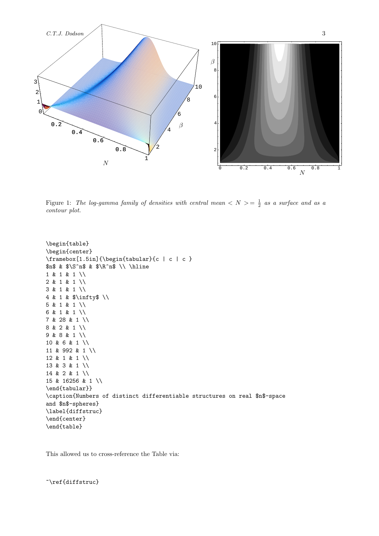

Figure 1: The log-gamma family of densities with central mean  $\langle N \rangle = \frac{1}{2}$  as a surface and as a contour plot.

```
\begin{table}
\begin{center}
\framebox[1.5in]{\begin{tabular}{c | c | c }
\text{sn$ k $S^n$ & $R^n$ \1 & 1 & 1 \\
2 & 1 & 1 \\
3 & 1 & 1 \\
4 & 1 & $\infty$ \\
5 & 1 & 1 \\
6 & 1 & 1 \\
7 & 28 & 1 \\
8 & 2 & 1 \\
9 & 8 & 1 \\
10 & 6 & 1 \\
11 & 992 & 1 \\
12 & 1 & 1 \\
13 & 3 & 1 \\
14 & 2 & 1 \\
15 & 16256 & 1 \\
\end{tabular}}
\caption{Numbers of distinct differentiable structures on real $n$-space
and $n$-spheres}
\label{diffstruc}
\end{center}
\end{table}
```
This allowed us to cross-reference the Table via:

~\ref{diffstruc}